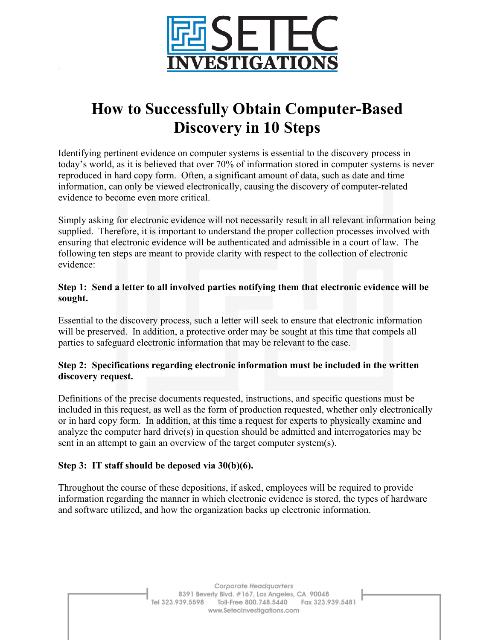

# **How to Successfully Obtain Computer-Based Discovery in 10 Steps**

Identifying pertinent evidence on computer systems is essential to the discovery process in today's world, as it is believed that over 70% of information stored in computer systems is never reproduced in hard copy form. Often, a significant amount of data, such as date and time information, can only be viewed electronically, causing the discovery of computer-related evidence to become even more critical.

Simply asking for electronic evidence will not necessarily result in all relevant information being supplied. Therefore, it is important to understand the proper collection processes involved with ensuring that electronic evidence will be authenticated and admissible in a court of law. The following ten steps are meant to provide clarity with respect to the collection of electronic evidence:

# **Step 1: Send a letter to all involved parties notifying them that electronic evidence will be sought.**

Essential to the discovery process, such a letter will seek to ensure that electronic information will be preserved. In addition, a protective order may be sought at this time that compels all parties to safeguard electronic information that may be relevant to the case.

# **Step 2: Specifications regarding electronic information must be included in the written discovery request.**

Definitions of the precise documents requested, instructions, and specific questions must be included in this request, as well as the form of production requested, whether only electronically or in hard copy form. In addition, at this time a request for experts to physically examine and analyze the computer hard drive(s) in question should be admitted and interrogatories may be sent in an attempt to gain an overview of the target computer system(s).

# **Step 3: IT staff should be deposed via 30(b)(6).**

Throughout the course of these depositions, if asked, employees will be required to provide information regarding the manner in which electronic evidence is stored, the types of hardware and software utilized, and how the organization backs up electronic information.

> Corporate Headquarters 8391 Beverly Blvd. #167, Los Angeles, CA 90048 Tel 323.939.5598 Toll-Free 800.748.5440 Fax 323.939.5481 www.SetecInvestigations.com